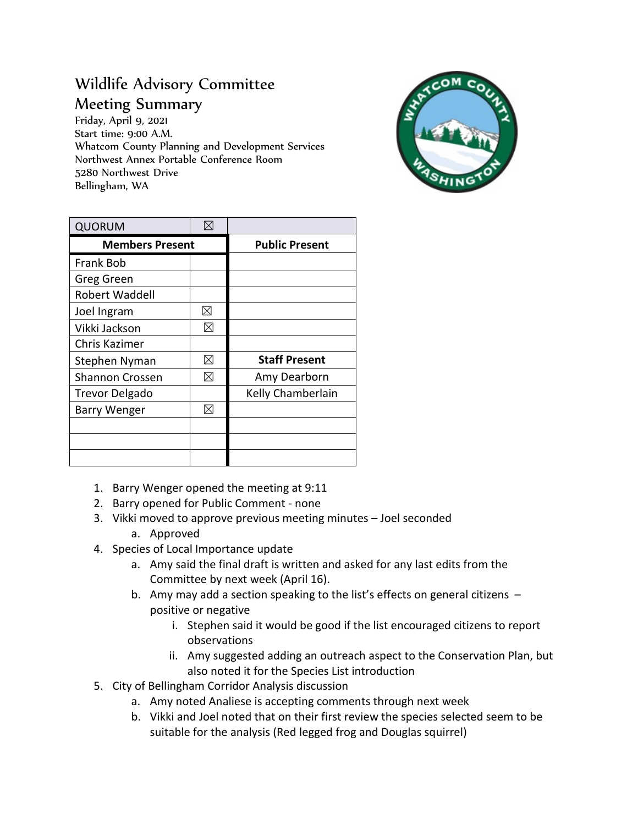## Wildlife Advisory Committee Meeting Summary

Friday, April 9, 2021 Start time: 9:00 A.M. Whatcom County Planning and Development Services Northwest Annex Portable Conference Room 5280 Northwest Drive Bellingham, WA



| <b>QUORUM</b>          | $\boxtimes$ |                       |
|------------------------|-------------|-----------------------|
| <b>Members Present</b> |             | <b>Public Present</b> |
| Frank Bob              |             |                       |
| Greg Green             |             |                       |
| <b>Robert Waddell</b>  |             |                       |
| Joel Ingram            | ⊠           |                       |
| Vikki Jackson          | ⊠           |                       |
| Chris Kazimer          |             |                       |
| Stephen Nyman          | ⊠           | <b>Staff Present</b>  |
| Shannon Crossen        | ⊠           | Amy Dearborn          |
| <b>Trevor Delgado</b>  |             | Kelly Chamberlain     |
| <b>Barry Wenger</b>    | ⊠           |                       |
|                        |             |                       |
|                        |             |                       |
|                        |             |                       |

- 1. Barry Wenger opened the meeting at 9:11
- 2. Barry opened for Public Comment none
- 3. Vikki moved to approve previous meeting minutes Joel seconded
	- a. Approved
- 4. Species of Local Importance update
	- a. Amy said the final draft is written and asked for any last edits from the Committee by next week (April 16).
	- b. Amy may add a section speaking to the list's effects on general citizens positive or negative
		- i. Stephen said it would be good if the list encouraged citizens to report observations
		- ii. Amy suggested adding an outreach aspect to the Conservation Plan, but also noted it for the Species List introduction
- 5. City of Bellingham Corridor Analysis discussion
	- a. Amy noted Analiese is accepting comments through next week
	- b. Vikki and Joel noted that on their first review the species selected seem to be suitable for the analysis (Red legged frog and Douglas squirrel)